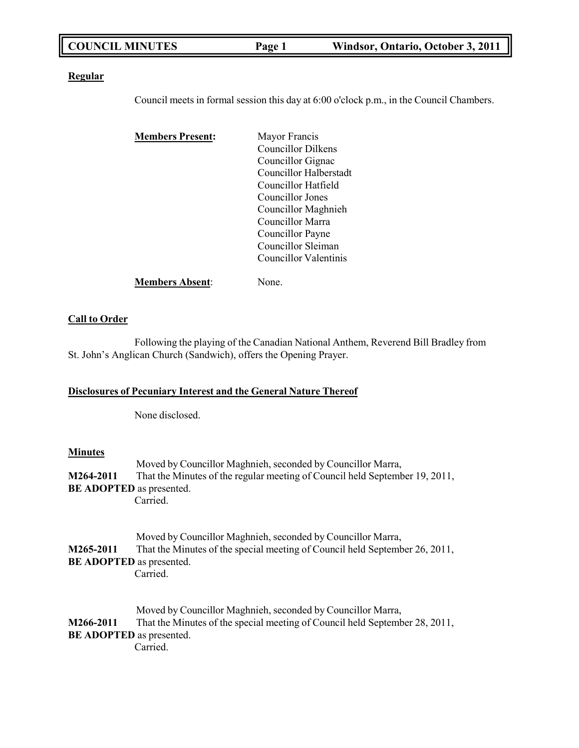| <b>COUNCIL MINUTES</b><br>Windsor, Ontario, October 3, 2011<br>Page 1 |
|-----------------------------------------------------------------------|
|-----------------------------------------------------------------------|

#### **Regular**

Council meets in formal session this day at 6:00 o'clock p.m., in the Council Chambers.

| <b>Members Present:</b> | Mayor Francis             |
|-------------------------|---------------------------|
|                         | <b>Councillor Dilkens</b> |
|                         | Councillor Gignac         |
|                         | Councillor Halberstadt    |
|                         | Councillor Hatfield       |
|                         | Councillor Jones          |
|                         | Councillor Maghnieh       |
|                         | Councillor Marra          |
|                         | Councillor Payne          |
|                         | Councillor Sleiman        |
|                         | Councillor Valentinis     |
| <b>Members Absent:</b>  | Jone.                     |

# **Call to Order**

Following the playing of the Canadian National Anthem, Reverend Bill Bradley from St. John's Anglican Church (Sandwich), offers the Opening Prayer.

# **Disclosures of Pecuniary Interest and the General Nature Thereof**

None disclosed.

#### **Minutes**

| M264-2011 | Moved by Councillor Maghnieh, seconded by Councillor Marra,<br>That the Minutes of the regular meeting of Council held September 19, 2011,<br><b>BE ADOPTED</b> as presented.             |
|-----------|-------------------------------------------------------------------------------------------------------------------------------------------------------------------------------------------|
|           | Carried.                                                                                                                                                                                  |
| M265-2011 | Moved by Councillor Maghnieh, seconded by Councillor Marra,<br>That the Minutes of the special meeting of Council held September 26, 2011,<br><b>BE ADOPTED</b> as presented.<br>Carried. |
| M266-2011 | Moved by Councillor Maghnieh, seconded by Councillor Marra,<br>That the Minutes of the special meeting of Council held September 28, 2011,<br><b>BE ADOPTED</b> as presented.<br>Carried. |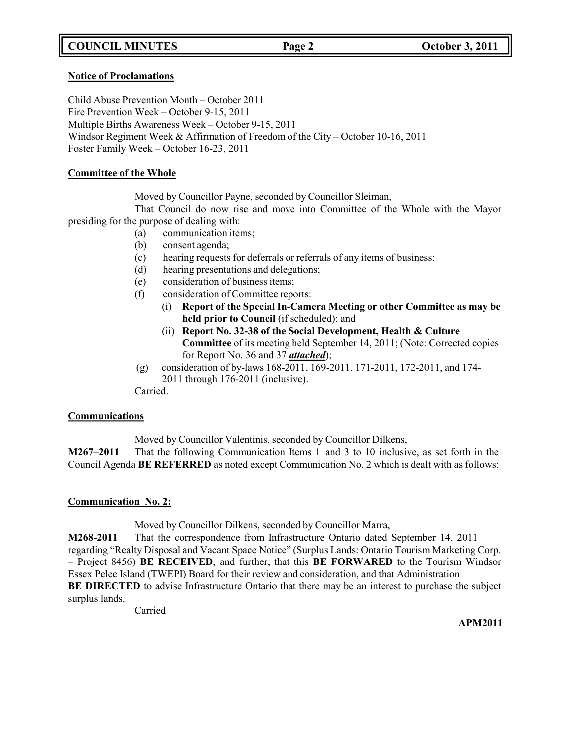# **COUNCIL MINUTES Page 2 October 3, 2011**

#### **Notice of Proclamations**

Child Abuse Prevention Month – October 2011 Fire Prevention Week – October 9-15, 2011 Multiple Births Awareness Week – October 9-15, 2011 Windsor Regiment Week & Affirmation of Freedom of the City – October 10-16, 2011 Foster Family Week – October 16-23, 2011

#### **Committee of the Whole**

Moved by Councillor Payne, seconded by Councillor Sleiman,

That Council do now rise and move into Committee of the Whole with the Mayor presiding for the purpose of dealing with:

- (a) communication items;
- (b) consent agenda;
- (c) hearing requests for deferrals or referrals of any items of business;
- (d) hearing presentations and delegations;
- (e) consideration of business items;
- (f) consideration of Committee reports:
	- (i) **Report of the Special In-Camera Meeting or other Committee as may be held prior to Council** (if scheduled); and
	- (ii) **Report No. 32-38 of the Social Development, Health & Culture Committee** of its meeting held September 14, 2011; (Note: Corrected copies for Report No. 36 and 37 *attached*);
- (g) consideration of by-laws 168-2011, 169-2011, 171-2011, 172-2011, and 174- 2011 through 176-2011 (inclusive).

Carried.

#### **Communications**

Moved by Councillor Valentinis, seconded by Councillor Dilkens,

**M267–2011** That the following Communication Items 1 and 3 to 10 inclusive, as set forth in the Council Agenda **BE REFERRED** as noted except Communication No. 2 which is dealt with as follows:

#### **Communication No. 2:**

Moved by Councillor Dilkens, seconded by Councillor Marra,

**M268-2011** That the correspondence from Infrastructure Ontario dated September 14, 2011 regarding "Realty Disposal and Vacant Space Notice" (Surplus Lands: Ontario Tourism Marketing Corp. – Project 8456) **BE RECEIVED**, and further, that this **BE FORWARED** to the Tourism Windsor Essex Pelee Island (TWEPI) Board for their review and consideration, and that Administration **BE DIRECTED** to advise Infrastructure Ontario that there may be an interest to purchase the subject surplus lands.

Carried

**APM2011**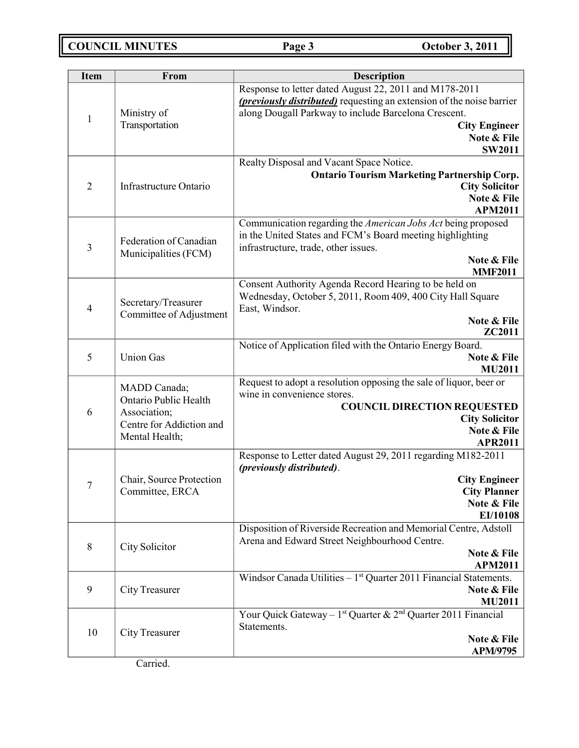**COUNCIL MINUTES Page 3 October 3, 2011**

| <b>Item</b>    | From                                                                                                | <b>Description</b>                                                                                                                                                                                                                                       |  |
|----------------|-----------------------------------------------------------------------------------------------------|----------------------------------------------------------------------------------------------------------------------------------------------------------------------------------------------------------------------------------------------------------|--|
| $\mathbf{1}$   | Ministry of<br>Transportation                                                                       | Response to letter dated August 22, 2011 and M178-2011<br>( <i>previously distributed</i> ) requesting an extension of the noise barrier<br>along Dougall Parkway to include Barcelona Crescent.<br><b>City Engineer</b><br>Note & File<br><b>SW2011</b> |  |
| $\overline{2}$ | Infrastructure Ontario                                                                              | Realty Disposal and Vacant Space Notice.<br><b>Ontario Tourism Marketing Partnership Corp.</b><br><b>City Solicitor</b><br>Note & File<br><b>APM2011</b>                                                                                                 |  |
| $\mathfrak{Z}$ | Federation of Canadian<br>Municipalities (FCM)                                                      | Communication regarding the American Jobs Act being proposed<br>in the United States and FCM's Board meeting highlighting<br>infrastructure, trade, other issues.<br>Note & File<br><b>MMF2011</b>                                                       |  |
| 4              | Secretary/Treasurer<br>Committee of Adjustment                                                      | Consent Authority Agenda Record Hearing to be held on<br>Wednesday, October 5, 2011, Room 409, 400 City Hall Square<br>East, Windsor.<br>Note & File<br>ZC2011                                                                                           |  |
| 5              | <b>Union Gas</b>                                                                                    | Notice of Application filed with the Ontario Energy Board.<br>Note & File<br><b>MU2011</b>                                                                                                                                                               |  |
| 6              | MADD Canada;<br>Ontario Public Health<br>Association;<br>Centre for Addiction and<br>Mental Health; | Request to adopt a resolution opposing the sale of liquor, beer or<br>wine in convenience stores.<br><b>COUNCIL DIRECTION REQUESTED</b><br><b>City Solicitor</b><br>Note & File<br><b>APR2011</b>                                                        |  |
| $\overline{7}$ | Chair, Source Protection<br>Committee, ERCA                                                         | Response to Letter dated August 29, 2011 regarding M182-2011<br>(previously distributed).<br><b>City Engineer</b><br><b>City Planner</b><br>Note & File<br>EI/10108                                                                                      |  |
| $\,8\,$        | City Solicitor                                                                                      | Disposition of Riverside Recreation and Memorial Centre, Adstoll<br>Arena and Edward Street Neighbourhood Centre.<br>Note & File<br><b>APM2011</b>                                                                                                       |  |
| 9              | City Treasurer                                                                                      | Windsor Canada Utilities $-1st$ Quarter 2011 Financial Statements.<br>Note & File<br><b>MU2011</b>                                                                                                                                                       |  |
| 10             | City Treasurer                                                                                      | Your Quick Gateway - $1^{st}$ Quarter & $2^{nd}$ Quarter 2011 Financial<br>Statements.<br>Note & File<br>APM/9795                                                                                                                                        |  |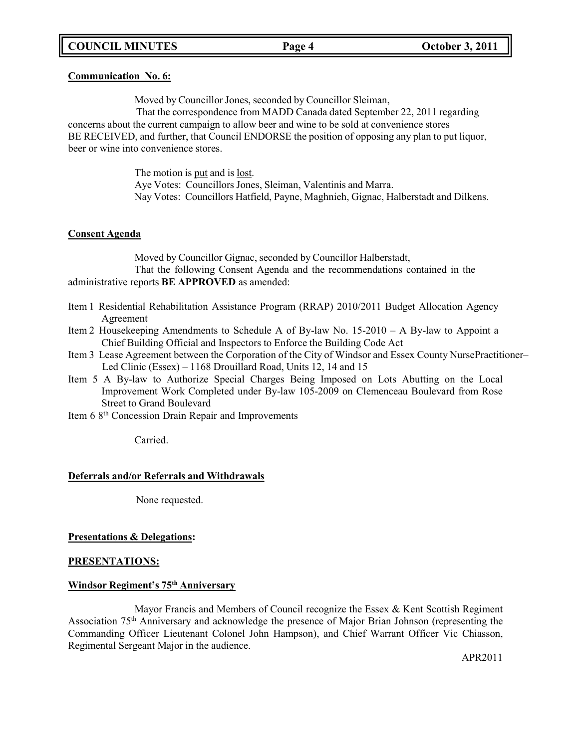#### **Communication No. 6:**

Moved by Councillor Jones, seconded by Councillor Sleiman,

That the correspondence from MADD Canada dated September 22, 2011 regarding concerns about the current campaign to allow beer and wine to be sold at convenience stores BE RECEIVED, and further, that Council ENDORSE the position of opposing any plan to put liquor, beer or wine into convenience stores.

> The motion is put and is lost. Aye Votes: Councillors Jones, Sleiman, Valentinis and Marra. Nay Votes: Councillors Hatfield, Payne, Maghnieh, Gignac, Halberstadt and Dilkens.

#### **Consent Agenda**

Moved by Councillor Gignac, seconded by Councillor Halberstadt, That the following Consent Agenda and the recommendations contained in the administrative reports **BE APPROVED** as amended:

- Item 1 Residential Rehabilitation Assistance Program (RRAP) 2010/2011 Budget Allocation Agency Agreement
- Item 2 Housekeeping Amendments to Schedule A of By-law No. 15-2010 A By-law to Appoint a Chief Building Official and Inspectors to Enforce the Building Code Act
- Item 3 Lease Agreement between the Corporation of the City of Windsor and Essex County NursePractitioner– Led Clinic (Essex) – 1168 Drouillard Road, Units 12, 14 and 15
- Item 5 A By-law to Authorize Special Charges Being Imposed on Lots Abutting on the Local Improvement Work Completed under By-law 105-2009 on Clemenceau Boulevard from Rose Street to Grand Boulevard
- Item 6 8<sup>th</sup> Concession Drain Repair and Improvements

Carried.

#### **Deferrals and/or Referrals and Withdrawals**

None requested.

#### **Presentations & Delegations:**

#### **PRESENTATIONS:**

#### **Windsor Regiment's 75th Anniversary**

Mayor Francis and Members of Council recognize the Essex & Kent Scottish Regiment Association 75th Anniversary and acknowledge the presence of Major Brian Johnson (representing the Commanding Officer Lieutenant Colonel John Hampson), and Chief Warrant Officer Vic Chiasson, Regimental Sergeant Major in the audience.

APR2011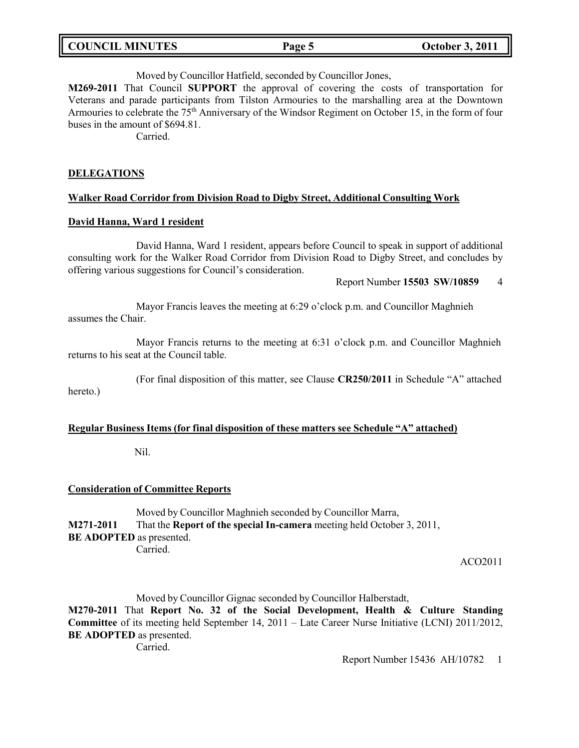| <b>COUNCIL MINUTES</b> | Page 5 | <b>October 3, 2011</b> |
|------------------------|--------|------------------------|
|------------------------|--------|------------------------|

Moved by Councillor Hatfield, seconded by Councillor Jones,

**M269-2011** That Council **SUPPORT** the approval of covering the costs of transportation for Veterans and parade participants from Tilston Armouries to the marshalling area at the Downtown Armouries to celebrate the  $75<sup>th</sup>$  Anniversary of the Windsor Regiment on October 15, in the form of four buses in the amount of \$694.81.

Carried.

#### **DELEGATIONS**

#### **Walker Road Corridor from Division Road to Digby Street, Additional Consulting Work**

#### **David Hanna, Ward 1 resident**

David Hanna, Ward 1 resident, appears before Council to speak in support of additional consulting work for the Walker Road Corridor from Division Road to Digby Street, and concludes by offering various suggestions for Council's consideration.

#### Report Number **15503 SW/10859** 4

Mayor Francis leaves the meeting at 6:29 o'clock p.m. and Councillor Maghnieh assumes the Chair.

Mayor Francis returns to the meeting at 6:31 o'clock p.m. and Councillor Maghnieh returns to his seat at the Council table.

(For final disposition of this matter, see Clause **CR250/2011** in Schedule "A" attached hereto.)

#### **Regular Business Items (for final disposition of these matters see Schedule "A" attached)**

Nil.

#### **Consideration of Committee Reports**

Moved by Councillor Maghnieh seconded by Councillor Marra, **M271-2011** That the **Report of the special In-camera** meeting held October 3, 2011, **BE ADOPTED** as presented. Carried.

ACO2011

Moved by Councillor Gignac seconded by Councillor Halberstadt,

**M270-2011** That **Report No. 32 of the Social Development, Health & Culture Standing Committee** of its meeting held September 14, 2011 – Late Career Nurse Initiative (LCNI) 2011/2012, **BE ADOPTED** as presented.

Carried.

Report Number 15436 AH/10782 1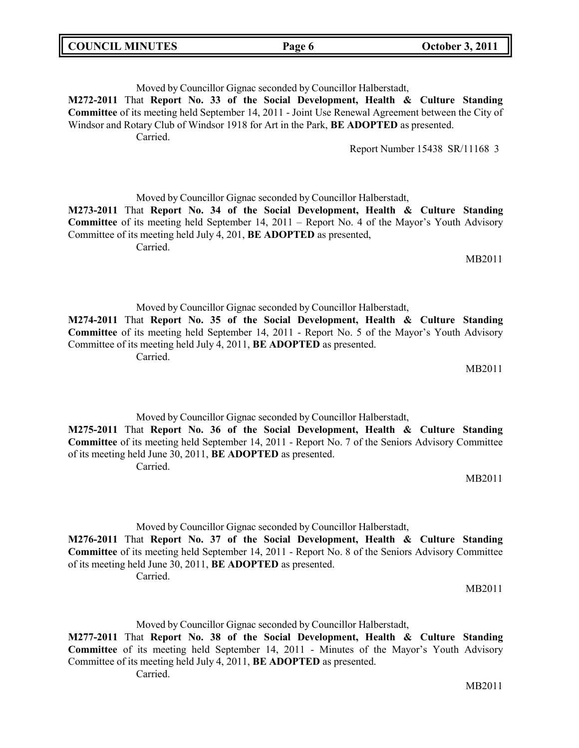Moved by Councillor Gignac seconded by Councillor Halberstadt, **M272-2011** That **Report No. 33 of the Social Development, Health & Culture Standing Committee** of its meeting held September 14, 2011 - Joint Use Renewal Agreement between the City of Windsor and Rotary Club of Windsor 1918 for Art in the Park, **BE ADOPTED** as presented. Carried. Report Number 15438 SR/11168 3

Moved by Councillor Gignac seconded by Councillor Halberstadt,

**M273-2011** That **Report No. 34 of the Social Development, Health & Culture Standing Committee** of its meeting held September 14, 2011 – Report No. 4 of the Mayor's Youth Advisory Committee of its meeting held July 4, 201, **BE ADOPTED** as presented,

Carried.

Moved by Councillor Gignac seconded by Councillor Halberstadt, **M274-2011** That **Report No. 35 of the Social Development, Health & Culture Standing Committee** of its meeting held September 14, 2011 - Report No. 5 of the Mayor's Youth Advisory Committee of its meeting held July 4, 2011, **BE ADOPTED** as presented.

Carried.

Moved by Councillor Gignac seconded by Councillor Halberstadt, **M275-2011** That **Report No. 36 of the Social Development, Health & Culture Standing Committee** of its meeting held September 14, 2011 - Report No. 7 of the Seniors Advisory Committee of its meeting held June 30, 2011, **BE ADOPTED** as presented. Carried.

Moved by Councillor Gignac seconded by Councillor Halberstadt, **M276-2011** That **Report No. 37 of the Social Development, Health & Culture Standing Committee** of its meeting held September 14, 2011 - Report No. 8 of the Seniors Advisory Committee of its meeting held June 30, 2011, **BE ADOPTED** as presented. Carried.

Moved by Councillor Gignac seconded by Councillor Halberstadt, **M277-2011** That **Report No. 38 of the Social Development, Health & Culture Standing Committee** of its meeting held September 14, 2011 - Minutes of the Mayor's Youth Advisory Committee of its meeting held July 4, 2011, **BE ADOPTED** as presented. Carried.

MB2011

MB2011

MB2011

MB2011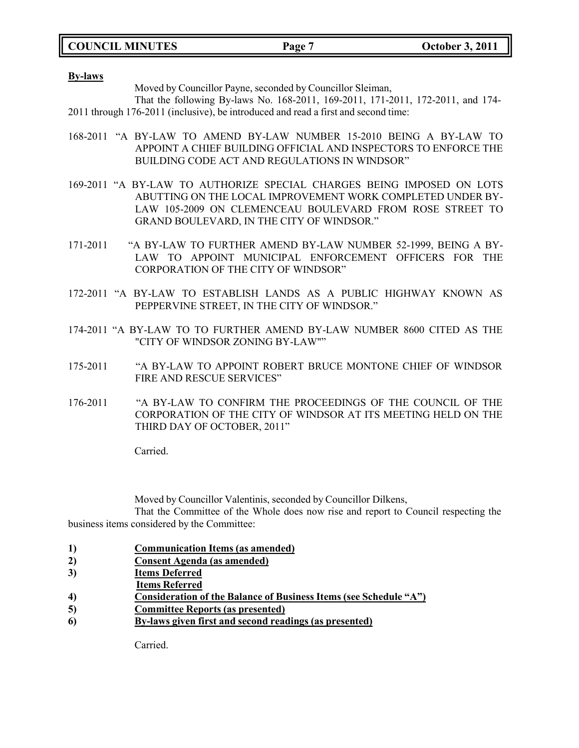**COUNCIL MINUTES Page 7 October 3, 2011**

**By-laws**

Moved by Councillor Payne, seconded by Councillor Sleiman,

That the following By-laws No. 168-2011, 169-2011, 171-2011, 172-2011, and 174- 2011 through 176-2011 (inclusive), be introduced and read a first and second time:

- 168-2011 "A BY-LAW TO AMEND BY-LAW NUMBER 15-2010 BEING A BY-LAW TO APPOINT A CHIEF BUILDING OFFICIAL AND INSPECTORS TO ENFORCE THE BUILDING CODE ACT AND REGULATIONS IN WINDSOR"
- 169-2011 "A BY-LAW TO AUTHORIZE SPECIAL CHARGES BEING IMPOSED ON LOTS ABUTTING ON THE LOCAL IMPROVEMENT WORK COMPLETED UNDER BY-LAW 105-2009 ON CLEMENCEAU BOULEVARD FROM ROSE STREET TO GRAND BOULEVARD, IN THE CITY OF WINDSOR."
- 171-2011 "A BY-LAW TO FURTHER AMEND BY-LAW NUMBER 52-1999, BEING A BY-LAW TO APPOINT MUNICIPAL ENFORCEMENT OFFICERS FOR THE CORPORATION OF THE CITY OF WINDSOR"
- 172-2011 "A BY-LAW TO ESTABLISH LANDS AS A PUBLIC HIGHWAY KNOWN AS PEPPERVINE STREET, IN THE CITY OF WINDSOR."
- 174-2011 "A BY-LAW TO TO FURTHER AMEND BY-LAW NUMBER 8600 CITED AS THE "CITY OF WINDSOR ZONING BY-LAW""
- 175-2011 "A BY-LAW TO APPOINT ROBERT BRUCE MONTONE CHIEF OF WINDSOR FIRE AND RESCUE SERVICES"
- 176-2011 "A BY-LAW TO CONFIRM THE PROCEEDINGS OF THE COUNCIL OF THE CORPORATION OF THE CITY OF WINDSOR AT ITS MEETING HELD ON THE THIRD DAY OF OCTOBER, 2011"

Carried.

Moved by Councillor Valentinis, seconded by Councillor Dilkens,

That the Committee of the Whole does now rise and report to Council respecting the business items considered by the Committee:

- **1) Communication Items (as amended)**
- **2) Consent Agenda (as amended)**
- **3) Items Deferred**
- **Items Referred**
- **4) Consideration of the Balance of Business Items (see Schedule "A")**
- **5) Committee Reports (as presented)**
- **6) By-laws given first and second readings (as presented)**

Carried.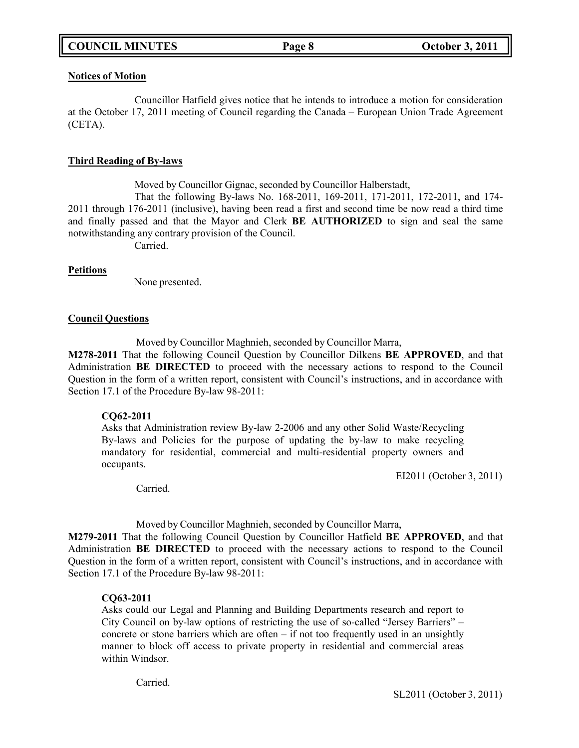#### **Notices of Motion**

Councillor Hatfield gives notice that he intends to introduce a motion for consideration at the October 17, 2011 meeting of Council regarding the Canada – European Union Trade Agreement (CETA).

### **Third Reading of By-laws**

Moved by Councillor Gignac, seconded by Councillor Halberstadt,

That the following By-laws No. 168-2011, 169-2011, 171-2011, 172-2011, and 174- 2011 through 176-2011 (inclusive), having been read a first and second time be now read a third time and finally passed and that the Mayor and Clerk **BE AUTHORIZED** to sign and seal the same notwithstanding any contrary provision of the Council.

Carried.

### **Petitions**

None presented.

#### **Council Questions**

Moved by Councillor Maghnieh, seconded by Councillor Marra,

**M278-2011** That the following Council Question by Councillor Dilkens **BE APPROVED**, and that Administration **BE DIRECTED** to proceed with the necessary actions to respond to the Council Question in the form of a written report, consistent with Council's instructions, and in accordance with Section 17.1 of the Procedure By-law 98-2011:

#### **CQ62-2011**

Asks that Administration review By-law 2-2006 and any other Solid Waste/Recycling By-laws and Policies for the purpose of updating the by-law to make recycling mandatory for residential, commercial and multi-residential property owners and occupants.

EI2011 (October 3, 2011)

Carried.

Moved by Councillor Maghnieh, seconded by Councillor Marra,

**M279-2011** That the following Council Question by Councillor Hatfield **BE APPROVED**, and that Administration **BE DIRECTED** to proceed with the necessary actions to respond to the Council Question in the form of a written report, consistent with Council's instructions, and in accordance with Section 17.1 of the Procedure By-law 98-2011:

## **CQ63-2011**

Asks could our Legal and Planning and Building Departments research and report to City Council on by-law options of restricting the use of so-called "Jersey Barriers" – concrete or stone barriers which are often – if not too frequently used in an unsightly manner to block off access to private property in residential and commercial areas within Windsor.

Carried.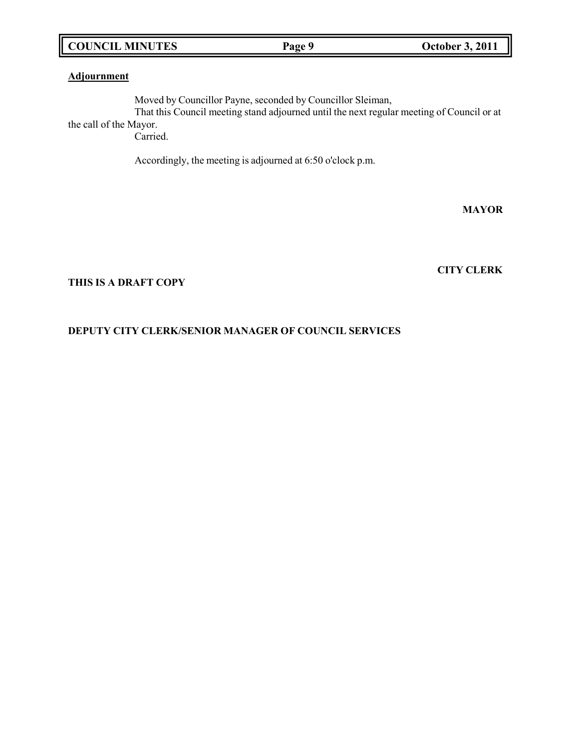## **COUNCIL MINUTES Page 9 October 3, 2011**

**Adjournment**

Moved by Councillor Payne, seconded by Councillor Sleiman, That this Council meeting stand adjourned until the next regular meeting of Council or at the call of the Mayor.

Carried.

Accordingly, the meeting is adjourned at 6:50 o'clock p.m.

### **MAYOR**

**CITY CLERK**

#### **THIS IS A DRAFT COPY**

## **DEPUTY CITY CLERK/SENIOR MANAGER OF COUNCIL SERVICES**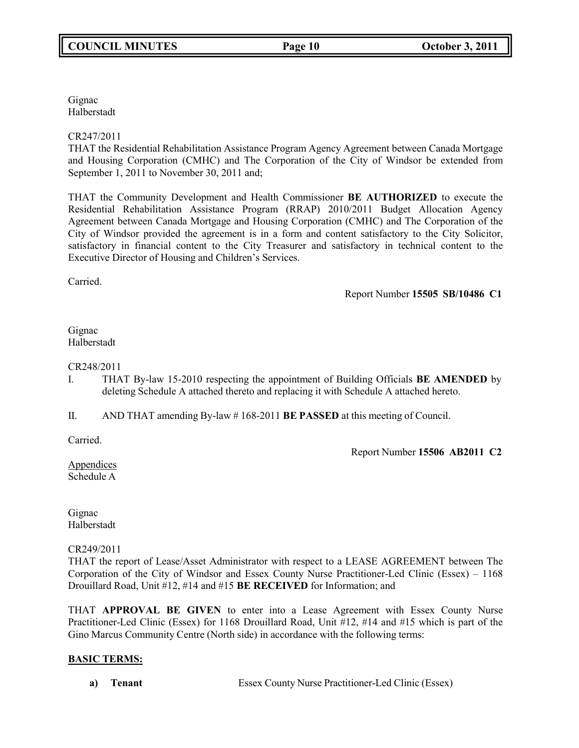Gignac Halberstadt

CR247/2011

THAT the Residential Rehabilitation Assistance Program Agency Agreement between Canada Mortgage and Housing Corporation (CMHC) and The Corporation of the City of Windsor be extended from September 1, 2011 to November 30, 2011 and;

THAT the Community Development and Health Commissioner **BE AUTHORIZED** to execute the Residential Rehabilitation Assistance Program (RRAP) 2010/2011 Budget Allocation Agency Agreement between Canada Mortgage and Housing Corporation (CMHC) and The Corporation of the City of Windsor provided the agreement is in a form and content satisfactory to the City Solicitor, satisfactory in financial content to the City Treasurer and satisfactory in technical content to the Executive Director of Housing and Children's Services.

Carried.

Report Number **15505 SB/10486 C1**

Gignac Halberstadt

CR248/2011

- I. THAT By-law 15-2010 respecting the appointment of Building Officials **BE AMENDED** by deleting Schedule A attached thereto and replacing it with Schedule A attached hereto.
- II. AND THAT amending By-law # 168-2011 **BE PASSED** at this meeting of Council.

Carried.

Report Number **15506 AB2011 C2**

Appendices Schedule A

Gignac Halberstadt

CR249/2011

THAT the report of Lease/Asset Administrator with respect to a LEASE AGREEMENT between The Corporation of the City of Windsor and Essex County Nurse Practitioner-Led Clinic (Essex) – 1168 Drouillard Road, Unit #12, #14 and #15 **BE RECEIVED** for Information; and

THAT **APPROVAL BE GIVEN** to enter into a Lease Agreement with Essex County Nurse Practitioner-Led Clinic (Essex) for 1168 Drouillard Road, Unit #12, #14 and #15 which is part of the Gino Marcus Community Centre (North side) in accordance with the following terms:

# **BASIC TERMS:**

**a) Tenant** Essex County Nurse Practitioner-Led Clinic (Essex)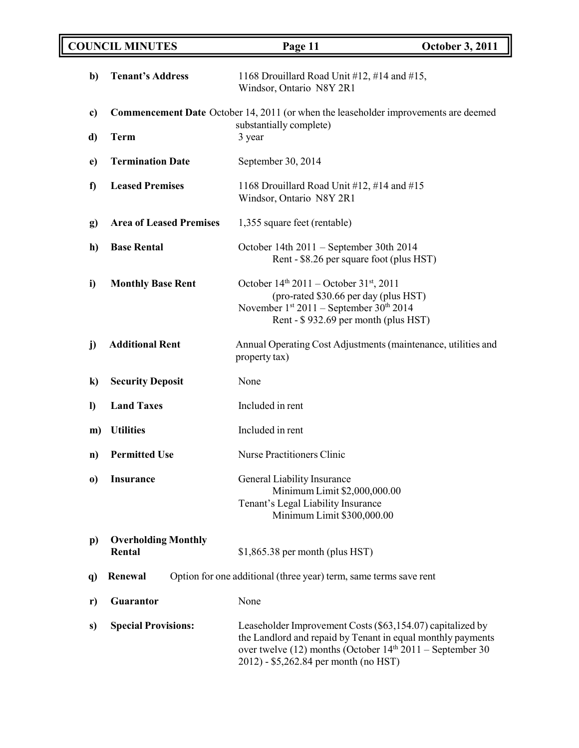|               | <b>COUNCIL MINUTES</b><br>Page 11<br><b>October 3, 2011</b>                                |                                                                                                                                                                                                                                   |  |
|---------------|--------------------------------------------------------------------------------------------|-----------------------------------------------------------------------------------------------------------------------------------------------------------------------------------------------------------------------------------|--|
| b)            | <b>Tenant's Address</b>                                                                    | 1168 Drouillard Road Unit #12, #14 and #15,<br>Windsor, Ontario N8Y 2R1                                                                                                                                                           |  |
| c)            | <b>Commencement Date</b> October 14, 2011 (or when the leaseholder improvements are deemed |                                                                                                                                                                                                                                   |  |
| d)            | <b>Term</b>                                                                                | substantially complete)<br>3 year                                                                                                                                                                                                 |  |
| $\mathbf{e})$ | <b>Termination Date</b>                                                                    | September 30, 2014                                                                                                                                                                                                                |  |
| f             | <b>Leased Premises</b>                                                                     | 1168 Drouillard Road Unit #12, #14 and #15<br>Windsor, Ontario N8Y 2R1                                                                                                                                                            |  |
| g)            | <b>Area of Leased Premises</b>                                                             | 1,355 square feet (rentable)                                                                                                                                                                                                      |  |
| h)            | <b>Base Rental</b>                                                                         | October 14th 2011 - September 30th 2014<br>Rent - \$8.26 per square foot (plus HST)                                                                                                                                               |  |
| i)            | <b>Monthly Base Rent</b>                                                                   | October $14^{th}$ 2011 – October 31 <sup>st</sup> , 2011<br>(pro-rated \$30.66 per day (plus HST)<br>November 1st 2011 - September 30th 2014<br>Rent - \$932.69 per month (plus HST)                                              |  |
| j)            | <b>Additional Rent</b>                                                                     | Annual Operating Cost Adjustments (maintenance, utilities and<br>property tax)                                                                                                                                                    |  |
| $\bf k)$      | <b>Security Deposit</b>                                                                    | None                                                                                                                                                                                                                              |  |
| $\mathbf{D}$  | <b>Land Taxes</b>                                                                          | Included in rent                                                                                                                                                                                                                  |  |
| m)            | <b>Utilities</b>                                                                           | Included in rent                                                                                                                                                                                                                  |  |
| n)            | <b>Permitted Use</b>                                                                       | <b>Nurse Practitioners Clinic</b>                                                                                                                                                                                                 |  |
| $\bf{0}$      | <b>Insurance</b>                                                                           | General Liability Insurance<br>Minimum Limit \$2,000,000.00<br>Tenant's Legal Liability Insurance<br>Minimum Limit \$300,000.00                                                                                                   |  |
| $\mathbf{p}$  | <b>Overholding Monthly</b><br>Rental                                                       | $$1,865.38$ per month (plus HST)                                                                                                                                                                                                  |  |
| <b>q</b> )    | Option for one additional (three year) term, same terms save rent<br>Renewal               |                                                                                                                                                                                                                                   |  |
| r)            | Guarantor                                                                                  | None                                                                                                                                                                                                                              |  |
| s)            | <b>Special Provisions:</b>                                                                 | Leaseholder Improvement Costs (\$63,154.07) capitalized by<br>the Landlord and repaid by Tenant in equal monthly payments<br>over twelve (12) months (October $14th 2011$ – September 30<br>2012) - \$5,262.84 per month (no HST) |  |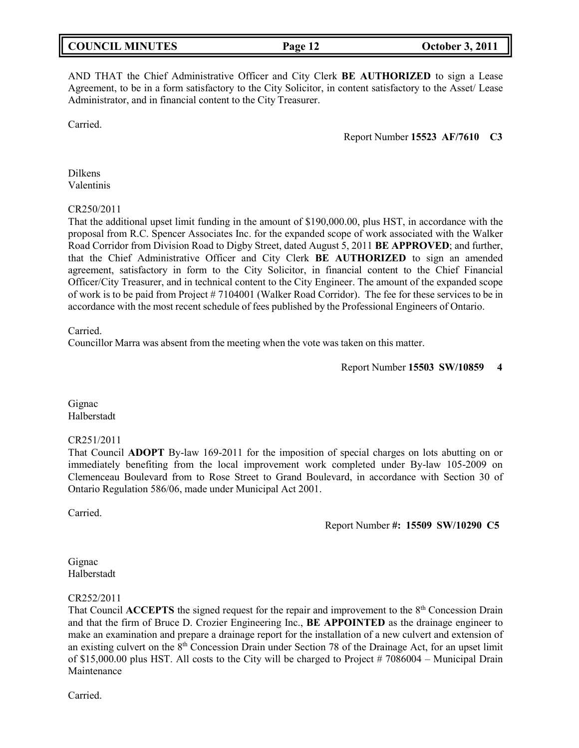AND THAT the Chief Administrative Officer and City Clerk **BE AUTHORIZED** to sign a Lease Agreement, to be in a form satisfactory to the City Solicitor, in content satisfactory to the Asset/ Lease Administrator, and in financial content to the City Treasurer.

Carried.

Report Number **15523 AF/7610 C3**

Dilkens Valentinis

#### CR250/2011

That the additional upset limit funding in the amount of \$190,000.00, plus HST, in accordance with the proposal from R.C. Spencer Associates Inc. for the expanded scope of work associated with the Walker Road Corridor from Division Road to Digby Street, dated August 5, 2011 **BE APPROVED**; and further, that the Chief Administrative Officer and City Clerk **BE AUTHORIZED** to sign an amended agreement, satisfactory in form to the City Solicitor, in financial content to the Chief Financial Officer/City Treasurer, and in technical content to the City Engineer. The amount of the expanded scope of work is to be paid from Project # 7104001 (Walker Road Corridor). The fee for these services to be in accordance with the most recent schedule of fees published by the Professional Engineers of Ontario.

Carried.

Councillor Marra was absent from the meeting when the vote was taken on this matter.

Report Number **15503 SW/10859 4**

Gignac Halberstadt

#### CR251/2011

That Council **ADOPT** By-law 169-2011 for the imposition of special charges on lots abutting on or immediately benefiting from the local improvement work completed under By-law 105-2009 on Clemenceau Boulevard from to Rose Street to Grand Boulevard, in accordance with Section 30 of Ontario Regulation 586/06, made under Municipal Act 2001.

Carried.

Report Number **#: 15509 SW/10290 C5**

Gignac Halberstadt

#### CR252/2011

That Council **ACCEPTS** the signed request for the repair and improvement to the 8<sup>th</sup> Concession Drain and that the firm of Bruce D. Crozier Engineering Inc., **BE APPOINTED** as the drainage engineer to make an examination and prepare a drainage report for the installation of a new culvert and extension of an existing culvert on the 8th Concession Drain under Section 78 of the Drainage Act, for an upset limit of \$15,000.00 plus HST. All costs to the City will be charged to Project # 7086004 – Municipal Drain Maintenance

Carried.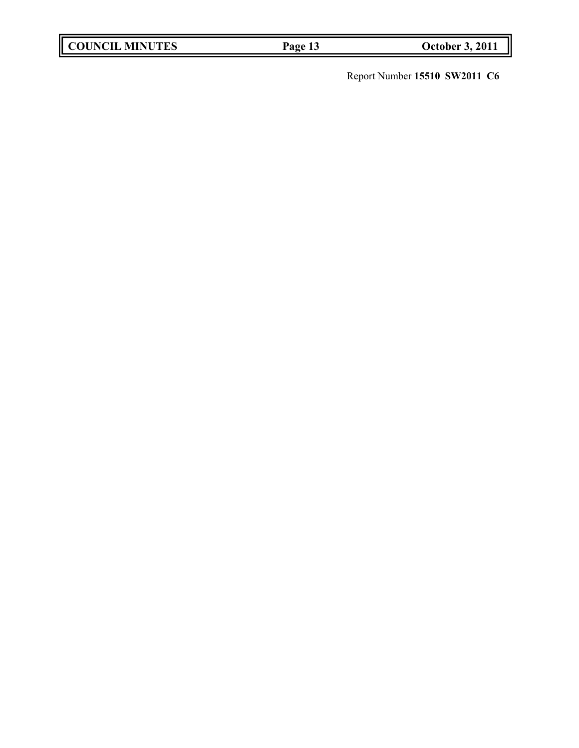| <b>COUNCIL MINUTES</b> | Page |
|------------------------|------|
|                        |      |

**COUNCIL 2 13 October 3, 2011** 

Report Number **15510 SW2011 C6**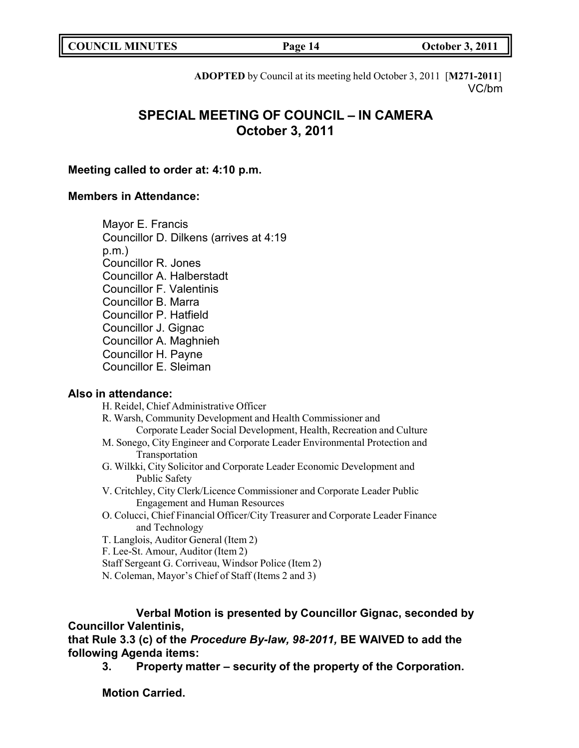| <b>COUNCIL MINUTES</b> | Page 14 | <b>October 3, 2011</b> |
|------------------------|---------|------------------------|
|                        |         |                        |

**ADOPTED** by Council at its meeting held October 3, 2011 [**M271-2011**] VC/bm

# **SPECIAL MEETING OF COUNCIL – IN CAMERA October 3, 2011**

## **Meeting called to order at: 4:10 p.m.**

# **Members in Attendance:**

Mayor E. Francis Councillor D. Dilkens (arrives at 4:19 p.m.) Councillor R. Jones Councillor A. Halberstadt Councillor F. Valentinis Councillor B. Marra Councillor P. Hatfield Councillor J. Gignac Councillor A. Maghnieh Councillor H. Payne Councillor E. Sleiman

## **Also in attendance:**

H. Reidel, Chief Administrative Officer

R. Warsh, Community Development and Health Commissioner and

- Corporate Leader Social Development, Health, Recreation and Culture
- M. Sonego, City Engineer and Corporate Leader Environmental Protection and Transportation
- G. Wilkki, City Solicitor and Corporate Leader Economic Development and Public Safety
- V. Critchley, City Clerk/Licence Commissioner and Corporate Leader Public Engagement and Human Resources
- O. Colucci, Chief Financial Officer/City Treasurer and Corporate Leader Finance and Technology
- T. Langlois, Auditor General (Item 2)
- F. Lee-St. Amour, Auditor (Item 2)
- Staff Sergeant G. Corriveau, Windsor Police (Item 2)
- N. Coleman, Mayor's Chief of Staff (Items 2 and 3)

# **Verbal Motion is presented by Councillor Gignac, seconded by Councillor Valentinis,**

**that Rule 3.3 (c) of the** *Procedure By-law, 98-2011,* **BE WAIVED to add the following Agenda items:**

**3. Property matter – security of the property of the Corporation.**

**Motion Carried.**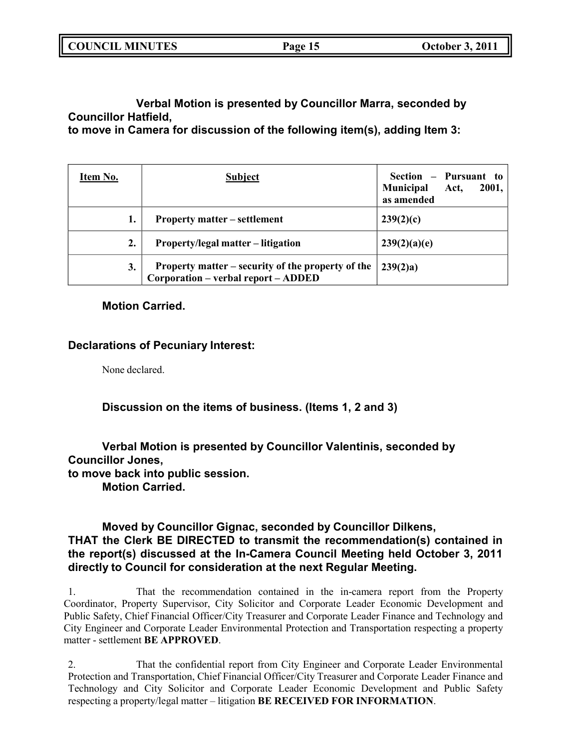| <b>COUNCIL MINUTES</b> | Page 15 | <b>October 3, 2011</b> |
|------------------------|---------|------------------------|
|                        |         |                        |

**Verbal Motion is presented by Councillor Marra, seconded by Councillor Hatfield,**

**to move in Camera for discussion of the following item(s), adding Item 3:**

| Item No.                                 | <b>Subject</b>                                                                           | Section - Pursuant to<br>Municipal Act,<br>2001,<br>as amended |
|------------------------------------------|------------------------------------------------------------------------------------------|----------------------------------------------------------------|
| 1.                                       | <b>Property matter – settlement</b>                                                      | 239(2)(c)                                                      |
| 2.<br>Property/legal matter – litigation |                                                                                          | 239(2)(a)(e)                                                   |
| 3.                                       | Property matter – security of the property of the<br>Corporation - verbal report - ADDED | 239(2)a)                                                       |

### **Motion Carried.**

## **Declarations of Pecuniary Interest:**

None declared.

**Discussion on the items of business. (Items 1, 2 and 3)**

# **Verbal Motion is presented by Councillor Valentinis, seconded by Councillor Jones,**

**to move back into public session.**

**Motion Carried.**

# **Moved by Councillor Gignac, seconded by Councillor Dilkens, THAT the Clerk BE DIRECTED to transmit the recommendation(s) contained in the report(s) discussed at the In-Camera Council Meeting held October 3, 2011 directly to Council for consideration at the next Regular Meeting.**

1. That the recommendation contained in the in-camera report from the Property Coordinator, Property Supervisor, City Solicitor and Corporate Leader Economic Development and Public Safety, Chief Financial Officer/City Treasurer and Corporate Leader Finance and Technology and City Engineer and Corporate Leader Environmental Protection and Transportation respecting a property matter - settlement **BE APPROVED**.

2. That the confidential report from City Engineer and Corporate Leader Environmental Protection and Transportation, Chief Financial Officer/City Treasurer and Corporate Leader Finance and Technology and City Solicitor and Corporate Leader Economic Development and Public Safety respecting a property/legal matter – litigation **BE RECEIVED FOR INFORMATION**.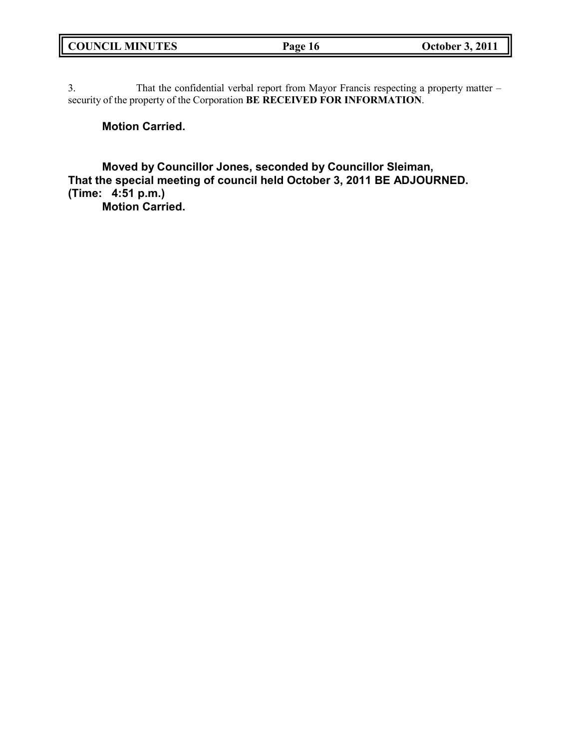| <b>COUNCIL MINUTES</b> | Page 16 |
|------------------------|---------|
|                        |         |

3. That the confidential verbal report from Mayor Francis respecting a property matter – security of the property of the Corporation **BE RECEIVED FOR INFORMATION**.

# **Motion Carried.**

Г.

**Moved by Councillor Jones, seconded by Councillor Sleiman, That the special meeting of council held October 3, 2011 BE ADJOURNED. (Time: 4:51 p.m.) Motion Carried.**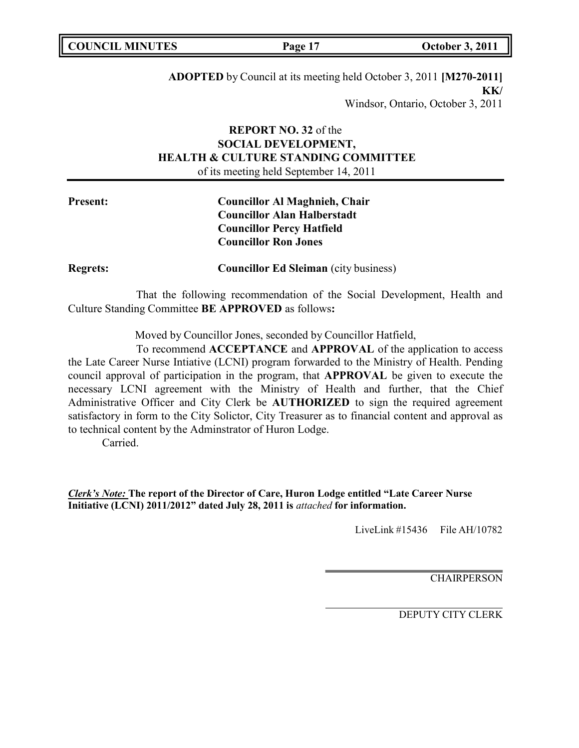| <b>COUNCIL MINUTES</b> | Page 17 | <b>October 3, 2011</b> |
|------------------------|---------|------------------------|
|                        |         |                        |

**ADOPTED** by Council at its meeting held October 3, 2011 **[M270-2011] KK/** Windsor, Ontario, October 3, 2011

# **REPORT NO. 32** of the **SOCIAL DEVELOPMENT, HEALTH & CULTURE STANDING COMMITTEE** of its meeting held September 14, 2011

| <b>Present:</b> | <b>Councillor Al Maghnieh, Chair</b> |
|-----------------|--------------------------------------|
|                 | <b>Councillor Alan Halberstadt</b>   |
|                 | <b>Councillor Percy Hatfield</b>     |
|                 | <b>Councillor Ron Jones</b>          |
|                 |                                      |

**Regrets: Councillor Ed Sleiman** (city business)

That the following recommendation of the Social Development, Health and Culture Standing Committee **BE APPROVED** as follows**:**

Moved by Councillor Jones, seconded by Councillor Hatfield,

To recommend **ACCEPTANCE** and **APPROVAL** of the application to access the Late Career Nurse Intiative (LCNI) program forwarded to the Ministry of Health. Pending council approval of participation in the program, that **APPROVAL** be given to execute the necessary LCNI agreement with the Ministry of Health and further, that the Chief Administrative Officer and City Clerk be **AUTHORIZED** to sign the required agreement satisfactory in form to the City Solictor, City Treasurer as to financial content and approval as to technical content by the Adminstrator of Huron Lodge.

Carried.

*Clerk's Note:* **The report of the Director of Care, Huron Lodge entitled "Late Career Nurse Initiative (LCNI) 2011/2012" dated July 28, 2011 is** *attached* **for information.**

LiveLink  $\#15436$  File AH/10782

**CHAIRPERSON**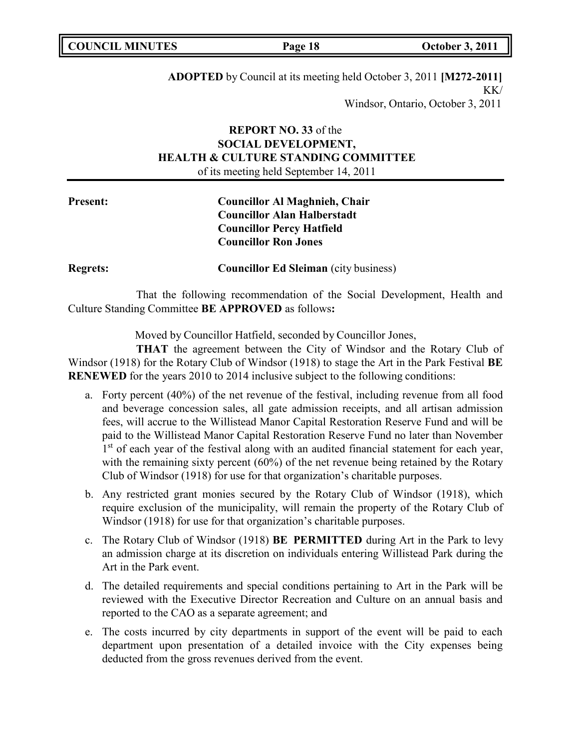| <b>COUNCIL MINUTES</b> |
|------------------------|
|------------------------|

**ADOPTED** by Council at its meeting held October 3, 2011 **[M272-2011]** KK/ Windsor, Ontario, October 3, 2011

# **REPORT NO. 33** of the **SOCIAL DEVELOPMENT, HEALTH & CULTURE STANDING COMMITTEE** of its meeting held September 14, 2011

# **Present: Councillor Al Maghnieh, Chair Councillor Alan Halberstadt Councillor Percy Hatfield Councillor Ron Jones**

**Regrets: Councillor Ed Sleiman** (city business)

That the following recommendation of the Social Development, Health and Culture Standing Committee **BE APPROVED** as follows**:**

Moved by Councillor Hatfield, seconded by Councillor Jones,

**THAT** the agreement between the City of Windsor and the Rotary Club of Windsor (1918) for the Rotary Club of Windsor (1918) to stage the Art in the Park Festival **BE RENEWED** for the years 2010 to 2014 inclusive subject to the following conditions:

- a. Forty percent (40%) of the net revenue of the festival, including revenue from all food and beverage concession sales, all gate admission receipts, and all artisan admission fees, will accrue to the Willistead Manor Capital Restoration Reserve Fund and will be paid to the Willistead Manor Capital Restoration Reserve Fund no later than November 1st of each year of the festival along with an audited financial statement for each year, with the remaining sixty percent (60%) of the net revenue being retained by the Rotary Club of Windsor (1918) for use for that organization's charitable purposes.
- b. Any restricted grant monies secured by the Rotary Club of Windsor (1918), which require exclusion of the municipality, will remain the property of the Rotary Club of Windsor (1918) for use for that organization's charitable purposes.
- c. The Rotary Club of Windsor (1918) **BE PERMITTED** during Art in the Park to levy an admission charge at its discretion on individuals entering Willistead Park during the Art in the Park event.
- d. The detailed requirements and special conditions pertaining to Art in the Park will be reviewed with the Executive Director Recreation and Culture on an annual basis and reported to the CAO as a separate agreement; and
- e. The costs incurred by city departments in support of the event will be paid to each department upon presentation of a detailed invoice with the City expenses being deducted from the gross revenues derived from the event.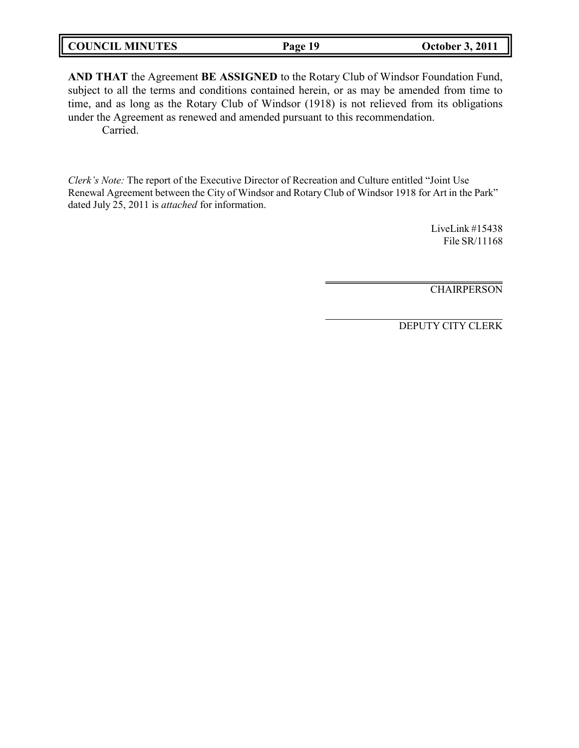|--|

**AND THAT** the Agreement **BE ASSIGNED** to the Rotary Club of Windsor Foundation Fund, subject to all the terms and conditions contained herein, or as may be amended from time to time, and as long as the Rotary Club of Windsor (1918) is not relieved from its obligations under the Agreement as renewed and amended pursuant to this recommendation. Carried.

*Clerk's Note:* The report of the Executive Director of Recreation and Culture entitled "Joint Use Renewal Agreement between the City of Windsor and Rotary Club of Windsor 1918 for Art in the Park" dated July 25, 2011 is *attached* for information.

> LiveLink #15438 File SR/11168

> CHAIRPERSON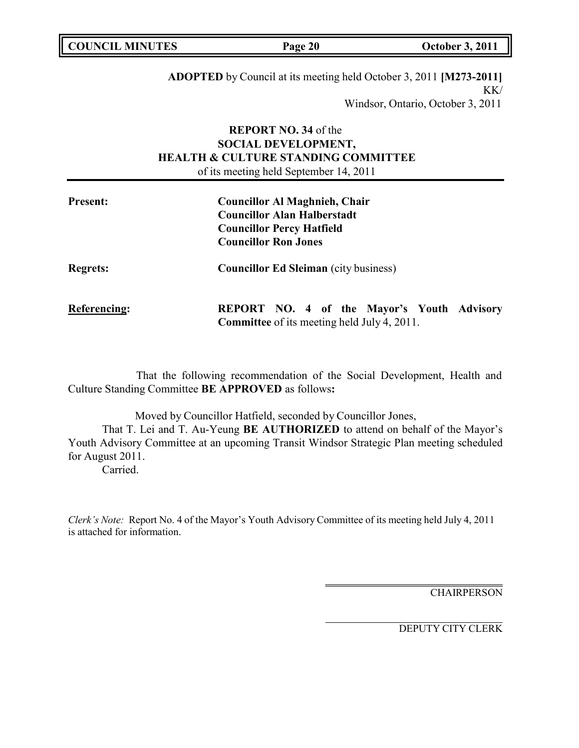| <b>COUNCIL MINUTES</b> | Page 20 | <b>October 3, 2011</b> |
|------------------------|---------|------------------------|
|                        |         |                        |

**ADOPTED** by Council at its meeting held October 3, 2011 **[M273-2011]**  $KK/$ Windsor, Ontario, October 3, 2011

# **REPORT NO. 34** of the **SOCIAL DEVELOPMENT, HEALTH & CULTURE STANDING COMMITTEE** of its meeting held September 14, 2011

| <b>Present:</b>     | <b>Councillor Al Maghnieh, Chair</b><br><b>Councillor Alan Halberstadt</b><br><b>Councillor Percy Hatfield</b><br><b>Councillor Ron Jones</b> |
|---------------------|-----------------------------------------------------------------------------------------------------------------------------------------------|
| <b>Regrets:</b>     | <b>Councillor Ed Sleiman</b> (city business)                                                                                                  |
| <b>Referencing:</b> | <b>REPORT NO. 4 of the Mayor's Youth Advisory</b><br><b>Committee</b> of its meeting held July 4, 2011.                                       |

That the following recommendation of the Social Development, Health and Culture Standing Committee **BE APPROVED** as follows**:**

Moved by Councillor Hatfield, seconded by Councillor Jones,

That T. Lei and T. Au-Yeung **BE AUTHORIZED** to attend on behalf of the Mayor's Youth Advisory Committee at an upcoming Transit Windsor Strategic Plan meeting scheduled for August 2011.

Carried.

*Clerk's Note:* Report No. 4 of the Mayor's Youth Advisory Committee of its meeting held July 4, 2011 is attached for information.

**CHAIRPERSON**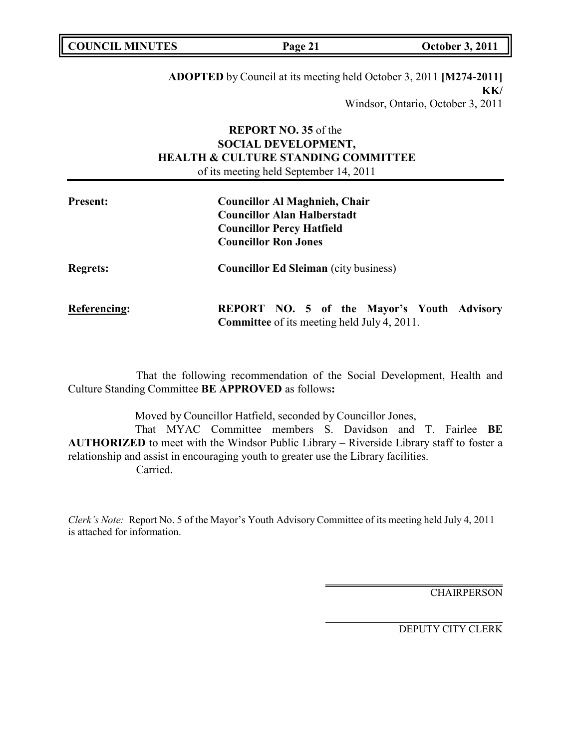| <b>COUNCIL MINUTES</b> | Page 21 | <b>October 3, 2011</b> |
|------------------------|---------|------------------------|
|                        |         |                        |

**ADOPTED** by Council at its meeting held October 3, 2011 **[M274-2011] KK/** Windsor, Ontario, October 3, 2011

# **REPORT NO. 35** of the **SOCIAL DEVELOPMENT, HEALTH & CULTURE STANDING COMMITTEE** of its meeting held September 14, 2011

| <b>Present:</b>     | <b>Councillor Al Maghnieh, Chair</b><br><b>Councillor Alan Halberstadt</b><br><b>Councillor Percy Hatfield</b><br><b>Councillor Ron Jones</b> |
|---------------------|-----------------------------------------------------------------------------------------------------------------------------------------------|
| <b>Regrets:</b>     | <b>Councillor Ed Sleiman</b> (city business)                                                                                                  |
| <b>Referencing:</b> | <b>REPORT NO. 5 of the Mayor's Youth Advisory</b><br><b>Committee</b> of its meeting held July 4, 2011.                                       |

That the following recommendation of the Social Development, Health and Culture Standing Committee **BE APPROVED** as follows**:**

Moved by Councillor Hatfield, seconded by Councillor Jones,

That MYAC Committee members S. Davidson and T. Fairlee **BE AUTHORIZED** to meet with the Windsor Public Library – Riverside Library staff to foster a relationship and assist in encouraging youth to greater use the Library facilities. Carried.

*Clerk's Note:* Report No. 5 of the Mayor's Youth Advisory Committee of its meeting held July 4, 2011 is attached for information.

**CHAIRPERSON**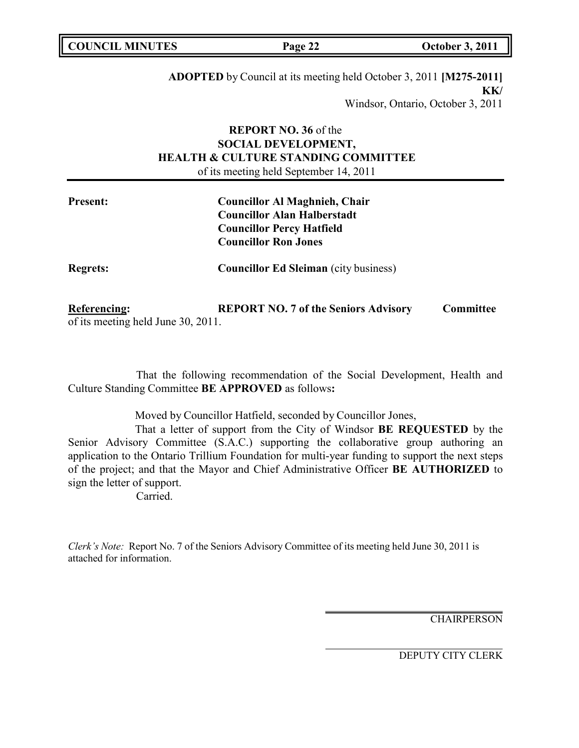| <b>COUNCIL MINUTES</b> | Page 22 | <b>October 3, 2011</b> |
|------------------------|---------|------------------------|
|                        |         |                        |

**ADOPTED** by Council at its meeting held October 3, 2011 **[M275-2011] KK/** Windsor, Ontario, October 3, 2011

# **REPORT NO. 36** of the **SOCIAL DEVELOPMENT, HEALTH & CULTURE STANDING COMMITTEE** of its meeting held September 14, 2011

| <b>Present:</b> | <b>Councillor Al Maghnieh, Chair</b><br><b>Councillor Alan Halberstadt</b><br><b>Councillor Percy Hatfield</b><br><b>Councillor Ron Jones</b> |
|-----------------|-----------------------------------------------------------------------------------------------------------------------------------------------|
| <b>Regrets:</b> | <b>Councillor Ed Sleiman</b> (city business)                                                                                                  |

**Referencing: REPORT NO. 7 of the Seniors Advisory Committee** of its meeting held June 30, 2011.

That the following recommendation of the Social Development, Health and Culture Standing Committee **BE APPROVED** as follows**:**

Moved by Councillor Hatfield, seconded by Councillor Jones,

That a letter of support from the City of Windsor **BE REQUESTED** by the Senior Advisory Committee (S.A.C.) supporting the collaborative group authoring an application to the Ontario Trillium Foundation for multi-year funding to support the next steps of the project; and that the Mayor and Chief Administrative Officer **BE AUTHORIZED** to sign the letter of support.

Carried.

*Clerk's Note:* Report No. 7 of the Seniors Advisory Committee of its meeting held June 30, 2011 is attached for information.

**CHAIRPERSON**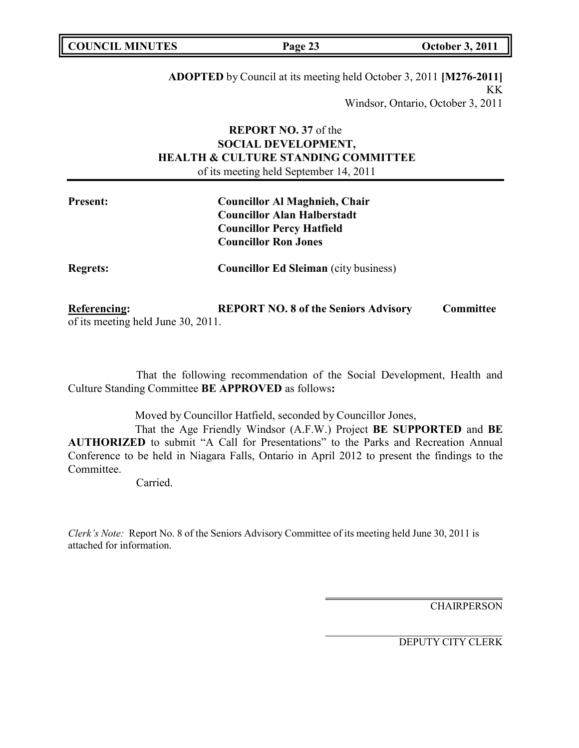| <b>COUNCIL MINUTES</b> | Page 23 | <b>October 3, 2011</b> |
|------------------------|---------|------------------------|
|                        |         |                        |

**ADOPTED** by Council at its meeting held October 3, 2011 **[M276-2011]** KK Windsor, Ontario, October 3, 2011

# **REPORT NO. 37** of the **SOCIAL DEVELOPMENT, HEALTH & CULTURE STANDING COMMITTEE** of its meeting held September 14, 2011

| <b>Present:</b> | <b>Councillor Al Maghnieh, Chair</b><br><b>Councillor Alan Halberstadt</b><br><b>Councillor Percy Hatfield</b><br><b>Councillor Ron Jones</b> |
|-----------------|-----------------------------------------------------------------------------------------------------------------------------------------------|
| <b>Regrets:</b> | <b>Councillor Ed Sleiman</b> (city business)                                                                                                  |

**Referencing: REPORT NO. 8 of the Seniors Advisory Committee** of its meeting held June 30, 2011.

That the following recommendation of the Social Development, Health and Culture Standing Committee **BE APPROVED** as follows**:**

Moved by Councillor Hatfield, seconded by Councillor Jones,

That the Age Friendly Windsor (A.F.W.) Project **BE SUPPORTED** and **BE AUTHORIZED** to submit "A Call for Presentations" to the Parks and Recreation Annual Conference to be held in Niagara Falls, Ontario in April 2012 to present the findings to the Committee.

Carried.

*Clerk's Note:* Report No. 8 of the Seniors Advisory Committee of its meeting held June 30, 2011 is attached for information.

**CHAIRPERSON**